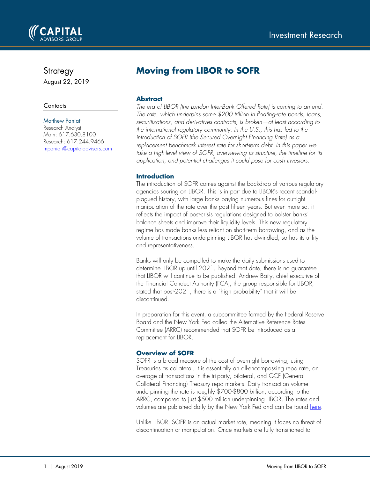

## Strategy

August 22, 2019

#### **Contacts**

#### Matthew Paniati

Research Analyst Main: 617.630.8100 Research: 617.244.9466 [mpaniati@capitaladvisors.com](mailto:mpaniati@capitaladvisors.com)

# **Moving from LIBOR to SOFR**

## **Abstract**

*The era of LIBOR (the London Inter-Bank Offered Rate) is coming to an end. The rate, which underpins some \$200 trillion in floating-rate bonds, loans, securitizations, and derivatives contracts, is broken—at least according to the international regulatory community. In the U.S., this has led to the introduction of SOFR (the Secured Overnight Financing Rate) as a replacement benchmark interest rate for short-term debt. In this paper we take a high-level view of SOFR, overviewing its structure, the timeline for its application, and potential challenges it could pose for cash investors.*

## **Introduction**

The introduction of SOFR comes against the backdrop of various regulatory agencies souring on LIBOR. This is in part due to LIBOR's recent scandalplagued history, with large banks paying numerous fines for outright manipulation of the rate over the past fifteen years. But even more so, it reflects the impact of post-crisis regulations designed to bolster banks' balance sheets and improve their liquidity levels. This new regulatory regime has made banks less reliant on short-term borrowing, and as the volume of transactions underpinning LIBOR has dwindled, so has its utility and representativeness.

Banks will only be compelled to make the daily submissions used to determine LIBOR up until 2021. Beyond that date, there is no guarantee that LIBOR will continue to be published. Andrew Baily, chief executive of the Financial Conduct Authority (FCA), the group responsible for LIBOR, stated that post-2021, there is a "high probability" that it will be discontinued.

In preparation for this event, a subcommittee formed by the Federal Reserve Board and the New York Fed called the Alternative Reference Rates Committee (ARRC) recommended that SOFR be introduced as a replacement for LIBOR.

## **Overview of SOFR**

SOFR is a broad measure of the cost of overnight borrowing, using Treasuries as collateral. It is essentially an all-encompassing repo rate, an average of transactions in the tri-party, bilateral, and GCF (General Collateral Financing) Treasury repo markets. Daily transaction volume underpinning the rate is roughly \$700-\$800 billion, according to the ARRC, compared to just \$500 million underpinning LIBOR. The rates and volumes are published daily by the New York Fed and can be found [here.](https://apps.newyorkfed.org/markets/autorates/SOFR)

Unlike LIBOR, SOFR is an actual market rate, meaning it faces no threat of discontinuation or manipulation. Once markets are fully transitioned to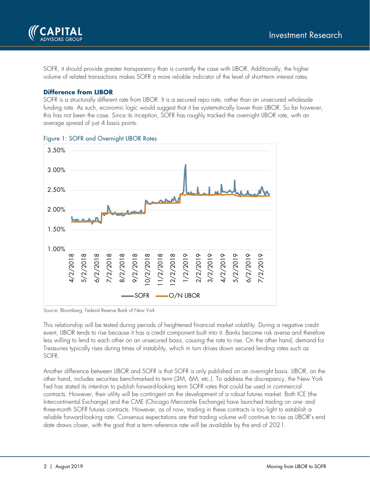

SOFR, it should provide greater transparency than is currently the case with LIBOR. Additionally, the higher volume of related transactions makes SOFR a more reliable indicator of the level of short-term interest rates.

#### **Difference from LIBOR**

SOFR is a structurally different rate from LIBOR. It is a secured repo rate, rather than an unsecured wholesale funding rate. As such, economic logic would suggest that it be systematically lower than LIBOR. So far however, this has not been the case. Since its inception, SOFR has roughly tracked the overnight LIBOR rate, with an average spread of just 4 basis points.



Figure 1: SOFR and Overnight LIBOR Rates

Source: Bloomberg, Federal Reserve Bank of New York

This relationship will be tested during periods of heightened financial market volatility. During a negative credit event, LIBOR tends to rise because it has a credit component built into it. Banks become risk averse and therefore less willing to lend to each other on an unsecured basis, causing the rate to rise. On the other hand, demand for Treasuries typically rises during times of instability, which in turn drives down secured lending rates such as SOFR.

Another difference between LIBOR and SOFR is that SOFR is only published on an overnight basis. LIBOR, on the other hand, includes securities benchmarked to term (3M, 6M, etc.). To address the discrepancy, the New York Fed has stated its intention to publish forward-looking term SOFR rates that could be used in commercial contracts. However, their utility will be contingent on the development of a robust futures market. Both ICE (the Intercontinental Exchange) and the CME (Chicago Mercantile Exchange) have launched trading on one- and three-month SOFR futures contracts. However, as of now, trading in these contracts is too light to establish a reliable forward-looking rate. Consensus expectations are that trading volume will continue to rise as LIBOR's end date draws closer, with the goal that a term reference rate will be available by the end of 2021.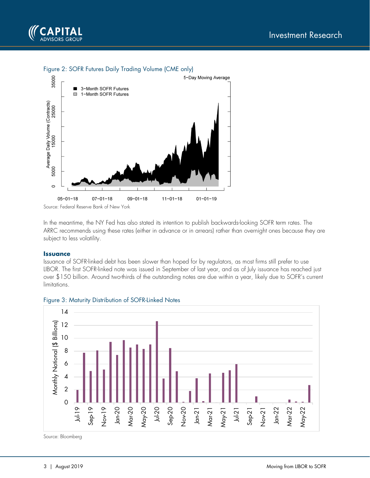

#### Figure 2: SOFR Futures Daily Trading Volume (CME only)



In the meantime, the NY Fed has also stated its intention to publish backwards-looking SOFR term rates. The ARRC recommends using these rates (either in advance or in arrears) rather than overnight ones because they are subject to less volatility.

#### **Issuance**

Issuance of SOFR-linked debt has been slower than hoped for by regulators, as most firms still prefer to use LIBOR. The first SOFR-linked note was issued in September of last year, and as of July issuance has reached just over \$150 billion. Around two-thirds of the outstanding notes are due within a year, likely due to SOFR's current limitations.



Figure 3: Maturity Distribution of SOFR-Linked Notes

Source: Bloomberg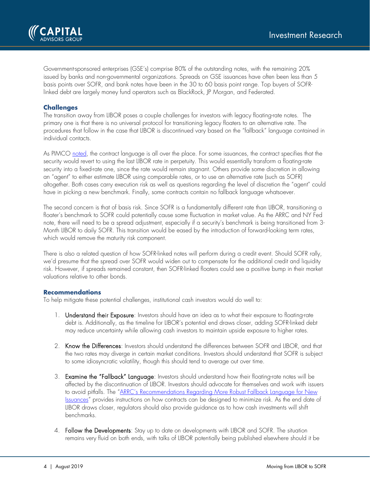

Government-sponsored enterprises (GSE's) comprise 80% of the outstanding notes, with the remaining 20% issued by banks and non-governmental organizations. Spreads on GSE issuances have often been less than 5 basis points over SOFR, and bank notes have been in the 30 to 60 basis point range. Top buyers of SOFRlinked debt are largely money fund operators such as BlackRock, JP Morgan, and Federated.

### **Challenges**

The transition away from LIBOR poses a couple challenges for investors with legacy floating-rate notes. The primary one is that there is no universal protocol for transitioning legacy floaters to an alternative rate. The procedures that follow in the case that LIBOR is discontinued vary based on the "fallback" language contained in individual contacts.

As PIMCO [noted,](https://www.pimco.com/en-us/insights/viewpoints/so-long-libor-transition-is-underway-to-sofr-and-other-alternative-reference-rates/) the contract language is all over the place. For some issuances, the contract specifies that the security would revert to using the last LIBOR rate in perpetuity. This would essentially transform a floating-rate security into a fixed-rate one, since the rate would remain stagnant. Others provide some discretion in allowing an "agent" to either estimate LIBOR using comparable rates, or to use an alternative rate (such as SOFR) altogether. Both cases carry execution risk as well as questions regarding the level of discretion the "agent" could have in picking a new benchmark. Finally, some contracts contain no fallback language whatsoever.

The second concern is that of basis risk. Since SOFR is a fundamentally different rate than LIBOR, transitioning a floater's benchmark to SOFR could potentially cause some fluctuation in market value. As the ARRC and NY Fed note, there will need to be a spread adjustment, especially if a security's benchmark is being transitioned from 3- Month LIBOR to daily SOFR. This transition would be eased by the introduction of forward-looking term rates, which would remove the maturity risk component.

There is also a related question of how SOFR-linked notes will perform during a credit event. Should SOFR rally, we'd presume that the spread over SOFR would widen out to compensate for the additional credit and liquidity risk. However, if spreads remained constant, then SOFR-linked floaters could see a positive bump in their market valuations relative to other bonds.

#### **Recommendations**

To help mitigate these potential challenges, institutional cash investors would do well to:

- 1. Understand their Exposure: Investors should have an idea as to what their exposure to floating-rate debt is. Additionally, as the timeline for LIBOR's potential end draws closer, adding SOFR-linked debt may reduce uncertainty while allowing cash investors to maintain upside exposure to higher rates.
- 2. Know the Differences: Investors should understand the differences between SOFR and LIBOR, and that the two rates may diverge in certain market conditions. Investors should understand that SOFR is subject to some idiosyncratic volatility, though this should tend to average out over time.
- 3. Examine the "Fallback" Language: Investors should understand how their floating-rate notes will be affected by the discontinuation of LIBOR. Investors should advocate for themselves and work with issuers to avoid pitfalls. The "ARRC's Recommendations Regarding More Robust Fallback Language for New [Issuances"](https://www.newyorkfed.org/medialibrary/Microsites/arrc/files/2019/FRN_Fallback_Language.pdf) provides instructions on how contracts can be designed to minimize risk. As the end date of LIBOR draws closer, regulators should also provide guidance as to how cash investments will shift benchmarks.
- 4. Follow the Developments: Stay up to date on developments with LIBOR and SOFR. The situation remains very fluid on both ends, with talks of LIBOR potentially being published elsewhere should it be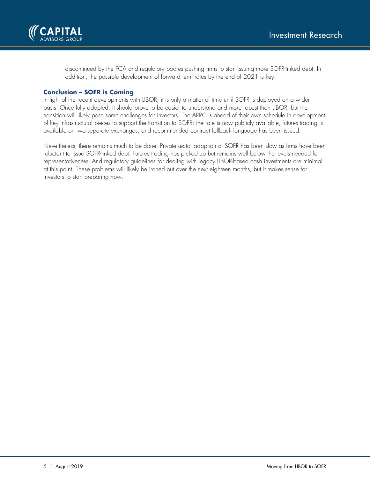

discontinued by the FCA and regulatory bodies pushing firms to start issuing more SOFR-linked debt. In addition, the possible development of forward term rates by the end of 2021 is key.

#### **Conclusion – SOFR is Coming**

In light of the recent developments with LIBOR, it is only a matter of time until SOFR is deployed on a wider basis. Once fully adopted, it should prove to be easier to understand and more robust than LIBOR, but the transition will likely pose some challenges for investors. The ARRC is ahead of their own schedule in development of key infrastructural pieces to support the transition to SOFR: the rate is now publicly available, futures trading is available on two separate exchanges, and recommended contract fallback language has been issued.

Nevertheless, there remains much to be done. Private-sector adoption of SOFR has been slow as firms have been reluctant to issue SOFR-linked debt. Futures trading has picked up but remains well below the levels needed for representativeness. And regulatory guidelines for dealing with legacy LIBOR-based cash investments are minimal at this point. These problems will likely be ironed out over the next eighteen months, but it makes sense for investors to start preparing now.